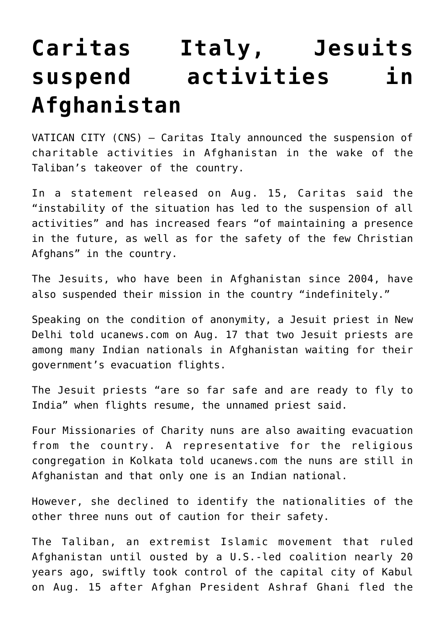## **[Caritas Italy, Jesuits](https://www.osvnews.com/2021/08/17/caritas-italy-jesuits-suspend-activities-in-afghanistan/) [suspend activities in](https://www.osvnews.com/2021/08/17/caritas-italy-jesuits-suspend-activities-in-afghanistan/) [Afghanistan](https://www.osvnews.com/2021/08/17/caritas-italy-jesuits-suspend-activities-in-afghanistan/)**

VATICAN CITY (CNS) — Caritas Italy announced the suspension of charitable activities in Afghanistan in the wake of the Taliban's takeover of the country.

In a statement released on Aug. 15, Caritas said the "instability of the situation has led to the suspension of all activities" and has increased fears "of maintaining a presence in the future, as well as for the safety of the few Christian Afghans" in the country.

The Jesuits, who have been in Afghanistan since 2004, have also suspended their mission in the country "indefinitely."

Speaking on the condition of anonymity, a Jesuit priest in New Delhi told ucanews.com on Aug. 17 that two Jesuit priests are among many Indian nationals in Afghanistan waiting for their government's evacuation flights.

The Jesuit priests "are so far safe and are ready to fly to India" when flights resume, the unnamed priest said.

Four Missionaries of Charity nuns are also awaiting evacuation from the country. A representative for the religious congregation in Kolkata told ucanews.com the nuns are still in Afghanistan and that only one is an Indian national.

However, she declined to identify the nationalities of the other three nuns out of caution for their safety.

The Taliban, an extremist Islamic movement that ruled Afghanistan until ousted by a U.S.-led coalition nearly 20 years ago, swiftly took control of the capital city of Kabul on Aug. 15 after Afghan President Ashraf Ghani fled the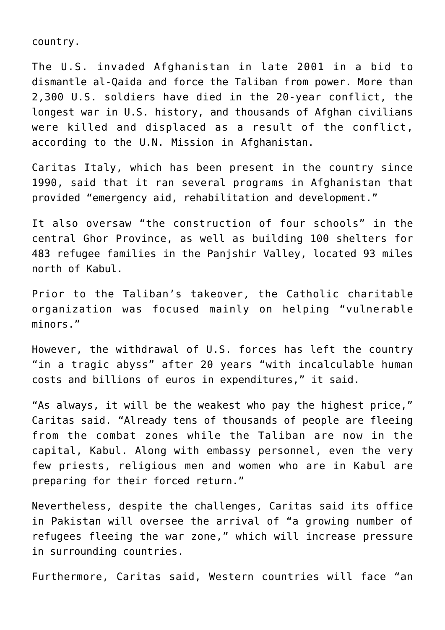country.

The U.S. invaded Afghanistan in late 2001 in a bid to dismantle al-Qaida and force the Taliban from power. More than 2,300 U.S. soldiers have died in the 20-year conflict, the longest war in U.S. history, and thousands of Afghan civilians were killed and displaced as a result of the conflict, according to the U.N. Mission in Afghanistan.

Caritas Italy, which has been present in the country since 1990, said that it ran several programs in Afghanistan that provided "emergency aid, rehabilitation and development."

It also oversaw "the construction of four schools" in the central Ghor Province, as well as building 100 shelters for 483 refugee families in the Panjshir Valley, located 93 miles north of Kabul.

Prior to the Taliban's takeover, the Catholic charitable organization was focused mainly on helping "vulnerable minors."

However, the withdrawal of U.S. forces has left the country "in a tragic abyss" after 20 years "with incalculable human costs and billions of euros in expenditures," it said.

"As always, it will be the weakest who pay the highest price," Caritas said. "Already tens of thousands of people are fleeing from the combat zones while the Taliban are now in the capital, Kabul. Along with embassy personnel, even the very few priests, religious men and women who are in Kabul are preparing for their forced return."

Nevertheless, despite the challenges, Caritas said its office in Pakistan will oversee the arrival of "a growing number of refugees fleeing the war zone," which will increase pressure in surrounding countries.

Furthermore, Caritas said, Western countries will face "an